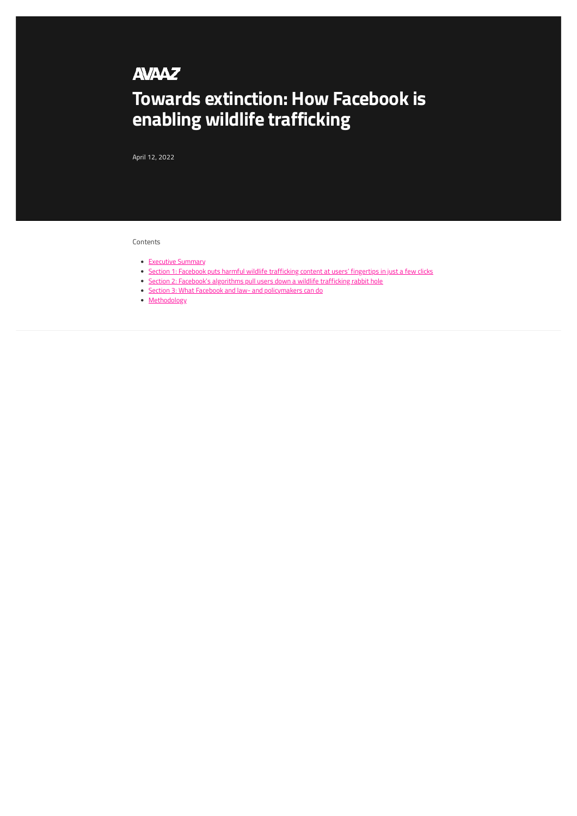## **AVAAZ**

# **Towards extinction: How Facebook is enabling wildlife trafficking**

April 12, 2022

#### Contents

- [Executive Summary](#page-1-0)
- [Section 1: Facebook puts harmful wildlife trafficking content at users' fingertips in just a few clicks](#page-1-1)
- [Section 2: Facebook's algorithms pull users down a wildlife trafficking rabbit hole](#page--1-0)
- [Section 3: What Facebook and law- and policymakers can do](#page--1-1)
- [Methodology](#page--1-0)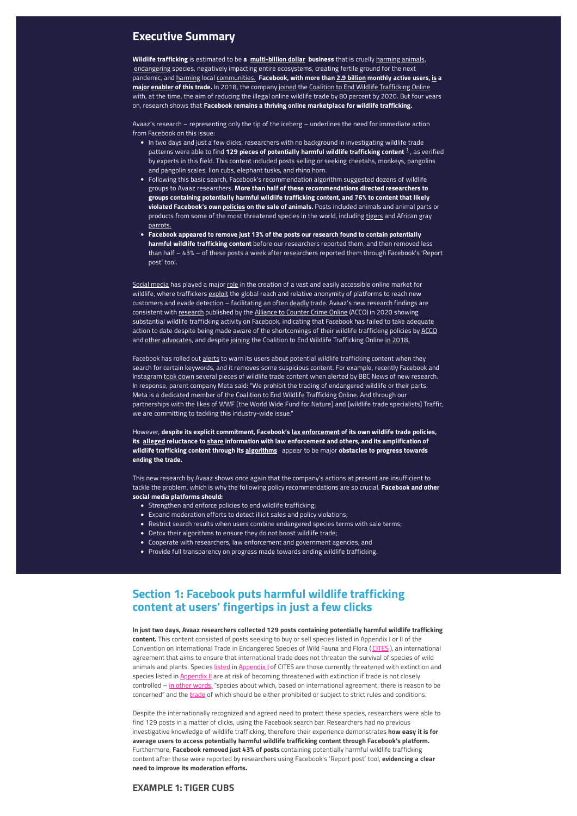## <span id="page-1-0"></span>**Executive Summary**

**Wildlife trafficking** is estimated to be **a [multi-billion dollar](https://www.fws.gov/program/combating-wildlife-trafficking) business** that is cruelly [harming animals,](https://www.unodc.org/unodc/frontpage/2020/April/wildlife-trafficking-harms-animals-and-human-health---the-case-of-pangolins.html)  [endangering](https://www.sciencedirect.com/science/article/pii/S0006320721003931?via%3Dihub) species, negatively impacting entire ecosystems, creating fertile ground for the next pandemic, and [harming](https://www.unodc.org/e4j/en/wildlife-crime/module-1/key-issues/implications-of-wildlife-trafficking.html) local [communities.](https://www.thegef.org/what-we-do/topics/illegal-wildlife-trade)  **Facebook, with more than [2.9 billion](https://investor.fb.com/investor-news/press-release-details/2021/Facebook-Reports-Third-Quarter-2021-Results/default.aspx) monthly active users, [is](https://www.independent.co.uk/stop-the-illegal-wildlife-trade/illegal-wildlife-trade-internet-facebook-b1879656.html) a [major](https://static1.squarespace.com/static/5e3a7fb845f8c668df48d437/t/5f8d9d26b6b09842cbd7eca7/1603116334186/ACCO+2+Clicks+Away+Wildlife+Sales+on+Facebook+Oct+2020+FINAL.pdfhttps://static1.squarespace.com/static/5e3a7fb845f8c668df48d437/t/5f8d9d26b6b09842cbd7eca7/1603116334186/ACCO+2+Clicks+Away+Wildlife+Sales+on+Facebook+Oct+2020+FINAL.pdf) [enabler](https://www.exeter.ac.uk/news/research/title_887793_en.html) of this trade.** In 2018, the company [joined](https://www.nationalgeographic.com/animals/article/wildlife-watch-tech-companies-online-wildlife-crime-coalition) the [Coalition to End Wildlife Trafficking Online](https://www.endwildlifetraffickingonline.org/about) with, at the time, the aim of reducing the illegal online wildlife trade by 80 percent by 2020. But four years on, research shows that **Facebook remains a thriving online marketplace for wildlife trafficking.**

Avaaz's research – representing only the tip of the iceberg – underlines the need for immediate action from Facebook on this issue:

- In two days and just a few clicks, researchers with no background in investigating wildlife trade patterns were able to find **[1](#page--1-2)29 pieces of potentially harmful wildlife trafficking content <sup>1</sup> , as verified** by experts in this field. This content included posts selling or seeking cheetahs, monkeys, pangolins and pangolin scales, lion cubs, elephant tusks, and rhino horn.
- Following this basic search, Facebook's recommendation algorithm suggested dozens of wildlife groups to Avaaz researchers. **More than half of these recommendations directed researchers to groups containing potentially harmful wildlife trafficking content, and 76% to content that likely violated Facebook's own [policies](https://transparency.fb.com/en-gb/policies/community-standards/regulated-goods/) on the sale of animals.** Posts included animals and animal parts or products from some of the most threatened species in the world, including [tigers](https://wildlifeday.org/content/factsheets/tiger) and African gray [parrots.](https://www.nationalgeographic.com/animals/birds/facts/african-gray-parrot)
- **Facebook appeared to remove just 13% of the posts our research found to contain potentially harmful wildlife trafficking content** before our researchers reported them, and then removed less than half – 43% – of these posts a week after researchers reported them through Facebook's 'Report post' tool.

[Social media](https://www.counteringcrime.org/wildlife-fact-sheet) has played a major [role](https://globalinitiative.net/wp-content/uploads/2019/02/TGIATOC-FinalSynthesis-Web.pdf) in the creation of a vast and easily accessible online market for wildlife, where traffickers [exploit](https://www.nationalgeographic.com/animals/article/how-internet-fuels-illegal-wildlife-trade) the global reach and relative anonymity of platforms to reach new customers and evade detection – facilitating an often [deadly](https://www.europarl.europa.eu/news/en/headlines/society/20161007STO46180/making-a-killing-how-to-stop-the-lethal-practice-of-wildlife-trafficking) trade. Avaaz's new research findings are consistent with [research](https://static1.squarespace.com/static/5e3a7fb845f8c668df48d437/t/5f8d9d26b6b09842cbd7eca7/1603116334186/ACCO+2+Clicks+Away+Wildlife+Sales+on+Facebook+Oct+2020+FINAL.pdfhttps://static1.squarespace.com/static/5e3a7fb845f8c668df48d437/t/5f8d9d26b6b09842cbd7eca7/1603116334186/ACCO+2+Clicks+Away+Wildlife+Sales+on+Facebook+Oct+2020+FINAL.pdf) published by the [Alliance to Counter Crime Online](https://www.counteringcrime.org/) (ACCO) in 2020 showing substantial wildlife trafficking activity on Facebook, indicating that Facebook has failed to take adequate action to date despite being made aware of the shortcomings of their wildlife trafficking policies by [ACCO](https://static1.squarespace.com/static/5e3a7fb845f8c668df48d437/t/5f8d9d26b6b09842cbd7eca7/1603116334186/ACCO+2+Clicks+Away+Wildlife+Sales+on+Facebook+Oct+2020+FINAL.pdfhttps://static1.squarespace.com/static/5e3a7fb845f8c668df48d437/t/5f8d9d26b6b09842cbd7eca7/1603116334186/ACCO+2+Clicks+Away+Wildlife+Sales+on+Facebook+Oct+2020+FINAL.pdf) and [other](https://www.whistleblowers.org/wildlife/help-stop-wildlife-trafficking-on-facebook/) [advocates,](https://www.bbc.com/news/technology-60247540) and despite [joining](https://www.endwildlifetraffickingonline.org/about) the Coalition to End Wildlife Trafficking Online in 2018.

Facebook has rolled out [alerts](https://www.worldwildlife.org/stories/new-facebook-alert-informs-users-about-wildlife-trafficking) to warn its users about potential wildlife trafficking content when they search for certain keywords, and it removes some suspicious content. For example, recently Facebook and Instagram [took down](https://www.bbc.com/news/technology-60247540) several pieces of wildlife trade content when alerted by BBC News of new research. In response, parent company Meta said: "We prohibit the trading of endangered wildlife or their parts. Meta is a dedicated member of the Coalition to End Wildlife Trafficking Online. And through our partnerships with the likes of WWF [the World Wide Fund for Nature] and [wildlife trade specialists] Traffic, we are committing to tackling this industry-wide issue."

However, **despite its explicit commitment, Facebook's [lax enforcement](https://static1.squarespace.com/static/5e3a7fb845f8c668df48d437/t/5f8d9d26b6b09842cbd7eca7/1603116334186/ACCO+2+Clicks+Away+Wildlife+Sales+on+Facebook+Oct+2020+FINAL.pdfhttps://static1.squarespace.com/static/5e3a7fb845f8c668df48d437/t/5f8d9d26b6b09842cbd7eca7/1603116334186/ACCO+2+Clicks+Away+Wildlife+Sales+on+Facebook+Oct+2020+FINAL.pdf) of its own wildlife trade policies, its [alleged](https://www.independent.co.uk/stop-the-illegal-wildlife-trade/illegal-wildlife-trade-internet-facebook-b1879656.html) reluctance to [share](https://www.courthousenews.com/social-media-platforms-hotbeds-for-wildlife-trafficking/) information with law enforcement and others, and its amplification of wildlife trafficking content through its [algorithms](https://static1.squarespace.com/static/5e3a7fb845f8c668df48d437/t/5f8d9d26b6b09842cbd7eca7/1603116334186/ACCO+2+Clicks+Away+Wildlife+Sales+on+Facebook+Oct+2020+FINAL.pdfhttps://static1.squarespace.com/static/5e3a7fb845f8c668df48d437/t/5f8d9d26b6b09842cbd7eca7/1603116334186/ACCO+2+Clicks+Away+Wildlife+Sales+on+Facebook+Oct+2020+FINAL.pdf)** appear to be major **obstacles to progress towards ending the trade.**

This new research by Avaaz shows once again that the company's actions at present are insufficient to tackle the problem, which is why the following policy recommendations are so crucial. **Facebook and other social media platforms should:**

- Strengthen and enforce policies to end wildlife trafficking;
- Expand moderation efforts to detect illicit sales and policy violations;
- Restrict search results when users combine endangered species terms with sale terms;
- Detox their algorithms to ensure they do not boost wildlife trade;
- Cooperate with researchers, law enforcement and government agencies; and
- Provide full transparency on progress made towards ending wildlife trafficking.

## <span id="page-1-1"></span>**Section 1: Facebook puts harmful wildlife trafficking content at users' fingertips in just a few clicks**

**In just two days, Avaaz researchers collected 129 posts containing potentially harmful wildlife trafficking content.** This content consisted of posts seeking to buy or sell species listed in Appendix I or II of the Convention on International Trade in Endangered Species of Wild Fauna and Flora ( [CITES](https://cites.org/eng/disc/what.php) ), an international agreement that aims to ensure that international trade does not threaten the survival of species of wild animals and plants. Species [listed](https://cites.org/eng/app/index.php) in Appendix | of CITES are those currently threatened with extinction and species listed in **Appendix II** are at risk of becoming threatened with extinction if trade is not closely controlled – [in other words,](https://www.unodc.org/documents/data-and-analysis/wildlife/2020/WWLC20_Chapter_1_Introduction.pdf) "species about which, based on international agreement, there is reason to be concerned" and the [trade](https://cites.org/eng/disc/how.php) of which should be either prohibited or subject to strict rules and conditions.

Despite the internationally recognized and agreed need to protect these species, researchers were able to find 129 posts in a matter of clicks, using the Facebook search bar. Researchers had no previous investigative knowledge of wildlife trafficking, therefore their experience demonstrates **how easy it is for average users to access potentially harmful wildlife trafficking content through Facebook's platform.** Furthermore, **Facebook removed just 43% of posts** containing potentially harmful wildlife trafficking content after these were reported by researchers using Facebook's 'Report post' tool, **evidencing a clear need to improve its moderation efforts.**

#### **EXAMPLE 1: TIGER CUBS**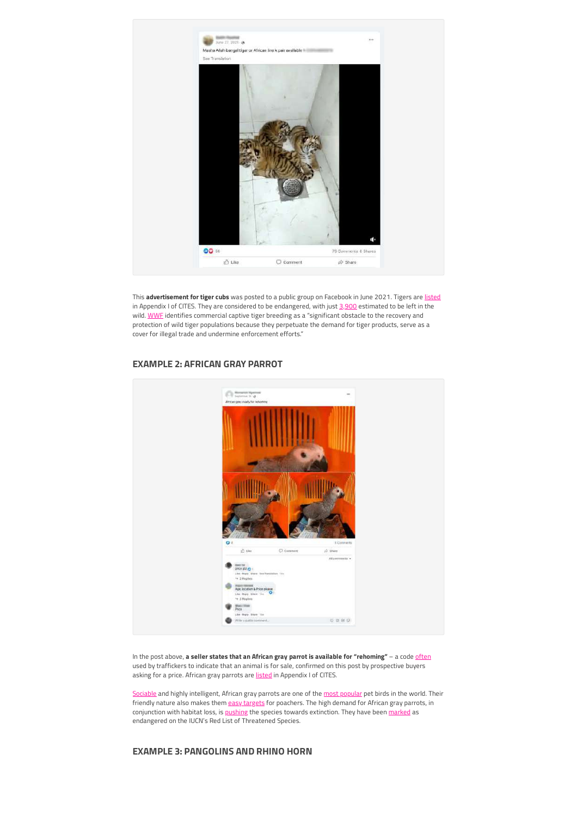

This **advertisement for tiger cubs** was posted to a public group on Facebook in June 2021. Tigers are [listed](https://cites.org/eng/gallery/species/mammal/tiger.html) in Appendix I of CITES. They are considered to be endangered, with just [3,900](https://www.worldwildlife.org/species/tiger) estimated to be left in the wild. [WWF](https://www.worldwildlife.org/species/tiger) identifies commercial captive tiger breeding as a "significant obstacle to the recovery and protection of wild tiger populations because they perpetuate the demand for tiger products, serve as a cover for illegal trade and undermine enforcement efforts."



#### **EXAMPLE 2: AFRICAN GRAY PARROT**

In the post above, a seller states that an African gray parrot is available for "rehoming" - a code [often](https://static1.squarespace.com/static/5e3a7fb845f8c668df48d437/t/5f8d9d26b6b09842cbd7eca7/1603116334186/ACCO+2+Clicks+Away+Wildlife+Sales+on+Facebook+Oct+2020+FINAL.pdfhttps://static1.squarespace.com/static/5e3a7fb845f8c668df48d437/t/5f8d9d26b6b09842cbd7eca7/1603116334186/ACCO+2+Clicks+Away+Wildlife+Sales+on+Facebook+Oct+2020+FINAL.pdf) used by traffickers to indicate that an animal is for sale, confirmed on this post by prospective buyers asking for a price. African gray parrots are [listed](https://www.reuters.com/article/us-wildlife-cites-african-grey-idUSKCN1220GJ) in Appendix I of CITES.

[Sociable](https://www.worldanimalprotection.or.ke/blogs/african-grey-parrots-danger-extinction) and highly intelligent, African gray parrots are one of the [most popular](https://www.nationalgeographic.com/animals/birds/facts/african-gray-parrot) pet birds in the world. Their friendly nature also makes them [easy targets](https://www.nationalgeographic.com/animals/birds/facts/african-gray-parrot) for poachers. The high demand for African gray parrots, in conjunction with habitat loss, is [pushing](https://wwf.panda.org/wwf_news/?279870/African%2DGrey%2DParrots) the species towards extinction. They have been [marked](https://www.iucnredlist.org/species/22724813/154428817) as endangered on the IUCN's Red List of Threatened Species.

#### **EXAMPLE 3: PANGOLINS AND RHINO HORN**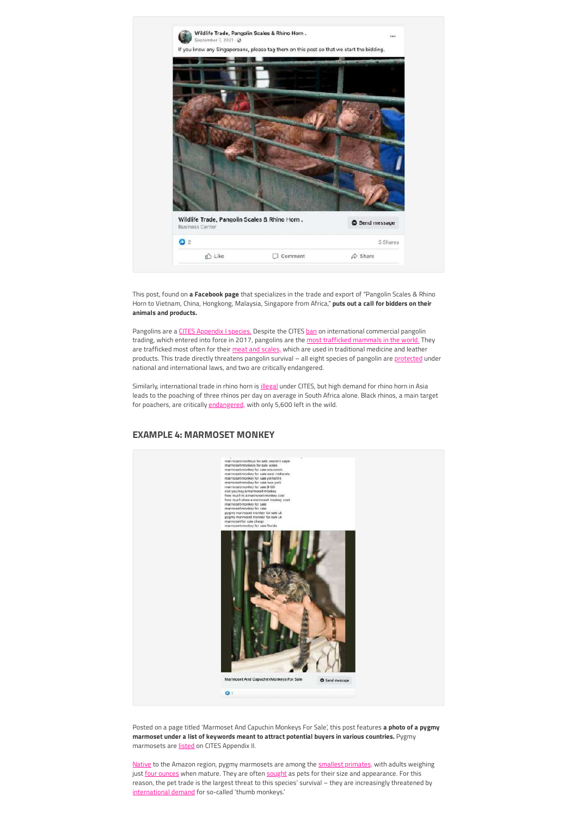

This post, found on **a Facebook page** that specializes in the trade and export of "Pangolin Scales & Rhino Horn to Vietnam, China, Hongkong, Malaysia, Singapore from Africa," **puts out a call for bidders on their animals and products.**

Pangolins are a [CITES Appendix I species.](https://www.reuters.com/article/us-wildlife-cites-african-grey-idUSKCN1220GJ) Despite the CITES [ban](https://eia-international.org/news/cites-parties-can-and-must-do-more-to-address-the-dire-impacts-of-global-illegal-pangolin-trade/) on international commercial pangolin trading, which entered into force in 2017, pangolins are the [most trafficked mammals in the world.](https://www.worldwildlife.org/species/pangolin) They are trafficked most often for their [meat and scales,](https://www.worldwildlife.org/species/pangolin) which are used in traditional medicine and leather products. This trade directly threatens pangolin survival - all eight species of pangolin are [protected](https://www.worldwildlife.org/species/pangolin) under national and international laws, and two are critically endangered.

Similarly, international trade in rhino horn is *illegal* under CITES, but high demand for rhino horn in Asia leads to the poaching of three rhinos per day on average in South Africa alone. Black rhinos, a main target for poachers, are critically [endangered,](https://www.worldwildlife.org/species/black-rhino) with only 5,600 left in the wild.



**EXAMPLE 4: MARMOSET MONKEY**

Posted on a page titled 'Marmoset And Capuchin Monkeys For Sale', this post features **a photo of a pygmy marmoset under a list of keywords meant to attract potential buyers in various countries.** Pygmy marmosets are [listed](https://primate.wisc.edu/primate-info-net/pin-factsheets/pin-factsheet-pygmy-marmoset/#conservation-status) on CITES Appendix II.

[Native](https://animals.sandiegozoo.org/animals/pygmy-marmoset) to the Amazon region, pygmy marmosets are among the **smallest primates**, with adults weighing just [four ounces](https://phys.org/news/2021-06-species-pygmy-marmosets-world-smallest.html) when mature. They are often [sought](https://animals.sandiegozoo.org/animals/pygmy-marmoset) as pets for their size and appearance. For this reason, the pet trade is the largest threat to this species' survival – they are increasingly threatened by [international demand](https://www.theguardian.com/environment/2016/feb/26/social-media-helps-fuel-chinas-illegal-craze-for-thumb-monkeys) for so-called 'thumb monkeys.'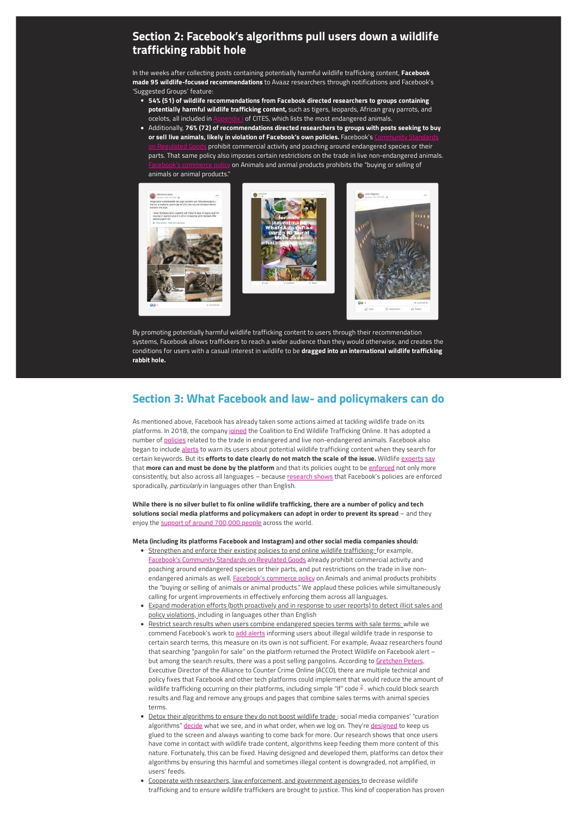## **Section 2: Facebook's algorithms pull users down a wildlife trafficking rabbit hole**

In the weeks after collecting posts containing potentially harmful wildlife trafficking content, **Facebook made 95 wildlife-focused recommendations** to Avaaz researchers through notifications and Facebook's 'Suggested Groups' feature:

- **54% (51) of wildlife recommendations from Facebook directed researchers to groups containing potentially harmful wildlife trafficking content,** such as tigers, leopards, African gray parrots, and ocelots, all included in **Appendix I** of CITES, which lists the most endangered animals
- Additionally, **76% (72) of recommendations directed researchers to groups with posts seeking to buy** or sell live animals, likely in violation of Facebook's own policies. Facebook's  $s$  prohibit commercial activity and poaching around endangered species or their parts. That same policy also imposes certain restrictions on the trade in live non-endangered animals. on Animals and animal products prohibits the "buying or selling of animals or animal products."



By promoting potentially harmful wildlife trafficking content to users through their recommendation systems, Facebook allows traffickers to reach a wider audience than they would otherwise, and creates the conditions for users with a casual interest in wildlife to be **dragged into an international wildlife trafficking rabbit hole.**

## **Section 3: What Facebook and law- and policymakers can do**

As mentioned above, Facebook has already taken some actions aimed at tackling wildlife trade on its platforms. In 2018, the company [joined](https://www.worldwildlife.org/stories/new-facebook-alert-informs-users-about-wildlife-trafficking#:~:text=Facebook%20banned%20the%20trade%20of,both%20animals%20and%20people%20safe.&text=Users%20can%20help%20report%20the,the%20in%2Dapp%20reporting%20feature) the Coalition to End Wildlife Trafficking Online. It has adopted a number of [policies](https://transparency.fb.com/en-gb/policies/community-standards/regulated-goods/) related to the trade in endangered and live non-endangered animals. Facebook also began to include [alerts](https://www.worldwildlife.org/stories/new-facebook-alert-informs-users-about-wildlife-trafficking) to warn its users about potential wildlife trafficking content when they search for certain keywords. But its efforts to date clearly do not match the scale of the issue. Wildlife [experts](https://static1.squarespace.com/static/5e3a7fb845f8c668df48d437/t/5f8d9d26b6b09842cbd7eca7/1603116334186/ACCO+2+Clicks+Away+Wildlife+Sales+on+Facebook+Oct+2020+FINAL.pdfhttps://static1.squarespace.com/static/5e3a7fb845f8c668df48d437/t/5f8d9d26b6b09842cbd7eca7/1603116334186/ACCO+2+Clicks+Away+Wildlife+Sales+on+Facebook+Oct+2020+FINAL.pdf) [say](https://www.independent.co.uk/stop-the-illegal-wildlife-trade/illegal-wildlife-trade-internet-facebook-b1879656.html) that **more can and must be done by the platform** and that its policies ought to be [enforced](https://static1.squarespace.com/static/5e3a7fb845f8c668df48d437/t/5f8d9d26b6b09842cbd7eca7/1603116334186/ACCO+2+Clicks+Away+Wildlife+Sales+on+Facebook+Oct+2020+FINAL.pdfhttps://static1.squarespace.com/static/5e3a7fb845f8c668df48d437/t/5f8d9d26b6b09842cbd7eca7/1603116334186/ACCO+2+Clicks+Away+Wildlife+Sales+on+Facebook+Oct+2020+FINAL.pdf) not only more consistently, but also across all languages – because [research shows](https://static1.squarespace.com/static/5e3a7fb845f8c668df48d437/t/5f8d9d26b6b09842cbd7eca7/1603116334186/ACCO+2+Clicks+Away+Wildlife+Sales+on+Facebook+Oct+2020+FINAL.pdfhttps://static1.squarespace.com/static/5e3a7fb845f8c668df48d437/t/5f8d9d26b6b09842cbd7eca7/1603116334186/ACCO+2+Clicks+Away+Wildlife+Sales+on+Facebook+Oct+2020+FINAL.pdf) that Facebook's policies are enforced sporadically, particularly in languages other than English.

**While there is no silver bullet to fix online wildlife trafficking, there are a number of policy and tech solutions social media platforms and policymakers can adopt in order to prevent its spread** – and they enjoy the [support of around 700,000 people](https://secure.avaaz.org/campaign/en/make_illegal_wildlife_trade_extinct_loc_dn/) across the world.

#### **Meta (including its platforms Facebook and Instagram) and other social media companies should:**

- Strengthen and enforce their existing policies to end online wildlife trafficking: for example, s Community Standards on Regulated Goods already prohibit commercial activity and poaching around endangered species or their parts, and put restrictions on the trade in live nonendangered animals as well. **Facebook's commerce policy** on Animals and animal products prohibits the "buying or selling of animals or animal products." We applaud these policies while simultaneously calling for urgent improvements in effectively enforcing them across all languages.
- Expand moderation efforts (both proactively and in response to user reports) to detect illicit sales and policy violations, including in languages other than English
- Restrict search results when users combine endangered species terms with sale terms: while we commend Facebook's work to [add alerts](https://www.worldwildlife.org/stories/new-facebook-alert-informs-users-about-wildlife-trafficking) informing users about illegal wildlife trade in response to certain search terms, this measure on its own is not sufficient. For example, Avaaz researchers found that searching "pangolin for sale" on the platform returned the Protect Wildlife on Facebook alert – but among the search results, there was a post selling pangolins. According to [Gretchen Peters,](https://www.counteringcrime.org/wildlife-hearing) Executive Director of the Alliance to Counter Crime Online (ACCO), there are multiple technical and policy fixes that Facebook and other tech platforms could implement that would reduce the amount of wildlife trafficking occurring on their platforms, including simple "If" code  $^2$  $^2$  . which could block search results and flag and remove any groups and pages that combine sales terms with animal species terms.
- <span id="page-4-0"></span>· Detox their algorithms to ensure they do not boost wildlife trade : social media companies' "curation algorithms" [decide](https://www.washingtonpost.com/technology/interactive/2021/how-facebook-algorithm-works/) what we see, and in what order, when we log on. They're [designed](https://www.washingtonpost.com/technology/2019/04/10/how-facebook-is-trying-stop-its-own-algorithms-doing-their-job/) to keep us glued to the screen and always wanting to come back for more. Our research shows that once users have come in contact with wildlife trade content, algorithms keep feeding them more content of this nature. Fortunately, this can be fixed. Having designed and developed them, platforms can detox their algorithms by ensuring this harmful and sometimes illegal content is downgraded, not amplified, in users' feeds.
- Cooperate with researchers, law enforcement, and government agencies to decrease wildlife trafficking and to ensure wildlife traffickers are brought to justice. This kind of cooperation has proven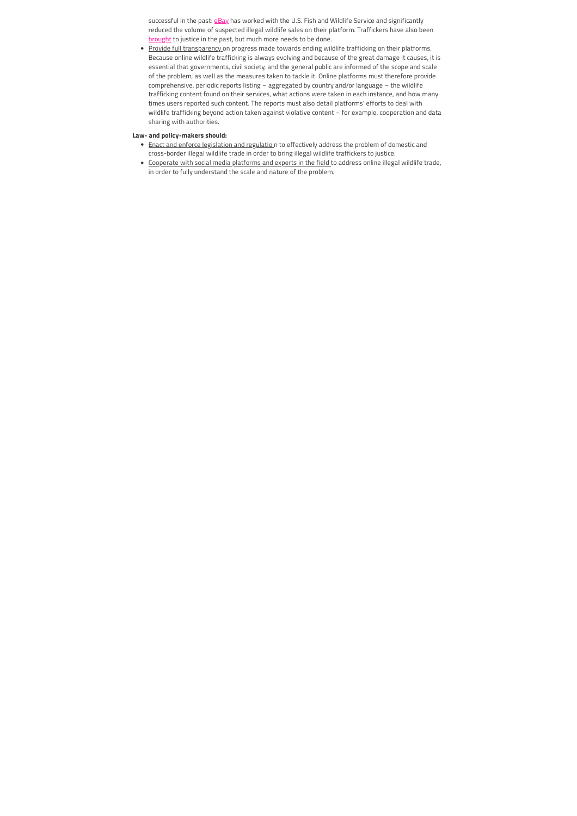successful in the past: [eBay](https://www.courthousenews.com/social-media-platforms-hotbeds-for-wildlife-trafficking/) has worked with the U.S. Fish and Wildlife Service and significantly reduced the volume of suspected illegal wildlife sales on their platform. Traffickers have also been [brought](https://www.justice.gov/opa/pr/texas-man-sentenced-trafficking-wildlife) to justice in the past, but much more needs to be done.

• Provide full transparency on progress made towards ending wildlife trafficking on their platforms. Because online wildlife trafficking is always evolving and because of the great damage it causes, it is essential that governments, civil society, and the general public are informed of the scope and scale of the problem, as well as the measures taken to tackle it. Online platforms must therefore provide comprehensive, periodic reports listing – aggregated by country and/or language – the wildlife trafficking content found on their services, what actions were taken in each instance, and how many times users reported such content. The reports must also detail platforms' efforts to deal with wildlife trafficking beyond action taken against violative content – for example, cooperation and data sharing with authorities.

#### **Law- and policy-makers should:**

- Enact and enforce legislation and regulatio n to effectively address the problem of domestic and cross-border illegal wildlife trade in order to bring illegal wildlife traffickers to justice.
- Cooperate with social media platforms and experts in the field to address online illegal wildlife trade, in order to fully understand the scale and nature of the problem.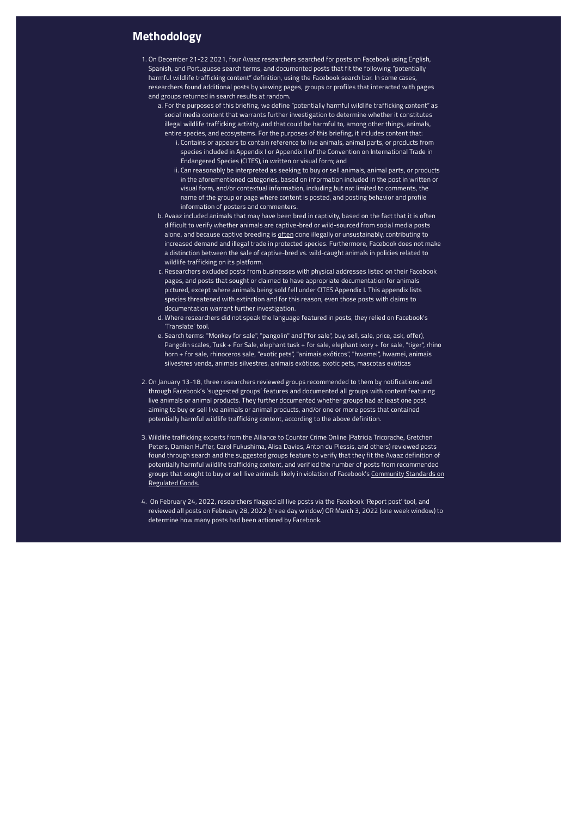## **Methodology**

- 1. On December 21-22 2021, four Avaaz researchers searched for posts on Facebook using English, Spanish, and Portuguese search terms, and documented posts that fit the following "potentially harmful wildlife trafficking content" definition, using the Facebook search bar. In some cases, researchers found additional posts by viewing pages, groups or profiles that interacted with pages and groups returned in search results at random.
	- a. For the purposes of this briefing, we define "potentially harmful wildlife trafficking content" as social media content that warrants further investigation to determine whether it constitutes illegal wildlife trafficking activity, and that could be harmful to, among other things, animals, entire species, and ecosystems. For the purposes of this briefing, it includes content that:
		- i. Contains or appears to contain reference to live animals, animal parts, or products from species included in Appendix I or Appendix II of the Convention on International Trade in Endangered Species (CITES), in written or visual form; and
		- ii. Can reasonably be interpreted as seeking to buy or sell animals, animal parts, or products in the aforementioned categories, based on information included in the post in written or visual form, and/or contextual information, including but not limited to comments, the name of the group or page where content is posted, and posting behavior and profile information of posters and commenters.
	- b. Avaaz included animals that may have been bred in captivity, based on the fact that it is often difficult to verify whether animals are captive-bred or wild-sourced from social media posts alone, and because captive breeding is [often](https://www.traffic.org/what-we-do/perspectives/captive-breeding/) done illegally or unsustainably, contributing to increased demand and illegal trade in protected species. Furthermore, Facebook does not make a distinction between the sale of captive-bred vs. wild-caught animals in policies related to wildlife trafficking on its platform.
	- c. Researchers excluded posts from businesses with physical addresses listed on their Facebook pages, and posts that sought or claimed to have appropriate documentation for animals pictured, except where animals being sold fell under CITES Appendix I. This appendix lists species threatened with extinction and for this reason, even those posts with claims to documentation warrant further investigation.
	- d. Where researchers did not speak the language featured in posts, they relied on Facebook's 'Translate' tool.
	- e. Search terms: "Monkey for sale", "pangolin" and ("for sale", buy, sell, sale, price, ask, offer), Pangolin scales, Tusk + For Sale, elephant tusk + for sale, elephant ivory + for sale, "tiger", rhino horn + for sale, rhinoceros sale, "exotic pets", "animais exóticos", "hwamei", hwamei, animais silvestres venda, animais silvestres, animais exóticos, exotic pets, mascotas exóticas
- 2. On January 13-18, three researchers reviewed groups recommended to them by notifications and through Facebook's 'suggested groups' features and documented all groups with content featuring live animals or animal products. They further documented whether groups had at least one post aiming to buy or sell live animals or animal products, and/or one or more posts that contained potentially harmful wildlife trafficking content, according to the above definition.
- 3. Wildlife trafficking experts from the Alliance to Counter Crime Online (Patricia Tricorache, Gretchen Peters, Damien Huffer, Carol Fukushima, Alisa Davies, Anton du Plessis, and others) reviewed posts found through search and the suggested groups feature to verify that they fit the Avaaz definition of potentially harmful wildlife trafficking content, and verified the number of posts from recommended [groups that sought to buy or sell live animals likely in violation of Facebook's Community Standards on](https://transparency.fb.com/en-gb/policies/community-standards/regulated-goods/) Regulated Goods.
- 4. On February 24, 2022, researchers flagged all live posts via the Facebook 'Report post' tool, and reviewed all posts on February 28, 2022 (three day window) OR March 3, 2022 (one week window) to determine how many posts had been actioned by Facebook.